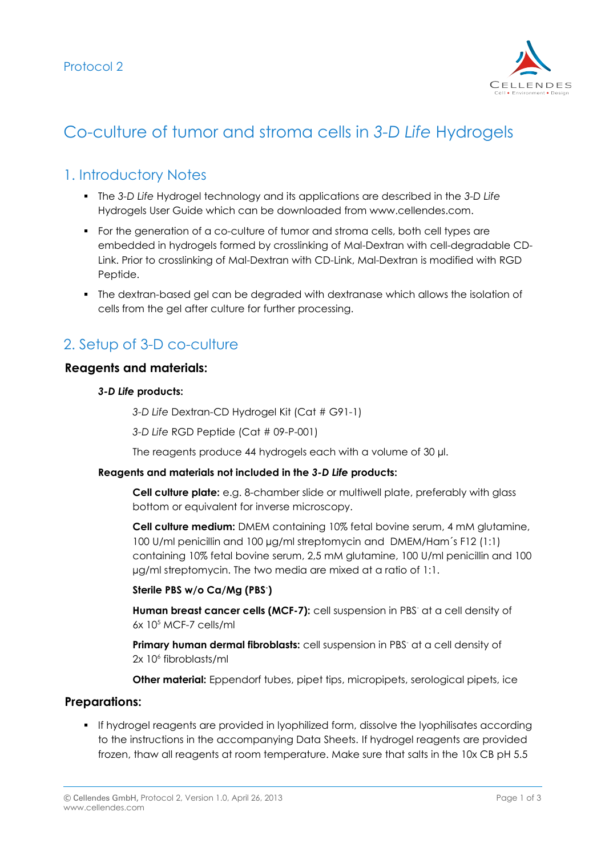

# Co-culture of tumor and stroma cells in *3-D Life* Hydrogels

### 1. Introductory Notes

- The *3-D Life* Hydrogel technology and its applications are described in the *3-D Life* Hydrogels User Guide which can be downloaded from www.cellendes.com.
- For the generation of a co-culture of tumor and stroma cells, both cell types are embedded in hydrogels formed by crosslinking of Mal-Dextran with cell-degradable CD-Link. Prior to crosslinking of Mal-Dextran with CD-Link, Mal-Dextran is modified with RGD Peptide.
- The dextran-based gel can be degraded with dextranase which allows the isolation of cells from the gel after culture for further processing.

## 2. Setup of 3-D co-culture

#### **Reagents and materials:**

#### *3-D Life* **products:**

*3-D Life* Dextran-CD Hydrogel Kit (Cat # G91-1)

*3-D Life* RGD Peptide (Cat # 09-P-001)

The reagents produce 44 hydrogels each with a volume of 30  $\mu$ l.

#### **Reagents and materials not included in the** *3-D Life* **products:**

**Cell culture plate:** e.g. 8-chamber slide or multiwell plate, preferably with glass bottom or equivalent for inverse microscopy.

**Cell culture medium:** DMEM containing 10% fetal bovine serum, 4 mM glutamine, 100 U/ml penicillin and 100 µg/ml streptomycin and DMEM/Ham´s F12 (1:1) containing 10% fetal bovine serum, 2,5 mM glutamine, 100 U/ml penicillin and 100 µg/ml streptomycin. The two media are mixed at a ratio of 1:1.

#### **Sterile PBS w/o Ca/Mg (PBS- )**

Human breast cancer cells (MCF-7): cell suspension in PBS<sup>-</sup> at a cell density of  $6x$  10 $5$  MCF-7 cells/ml

Primary human dermal fibroblasts: cell suspension in PBS<sup>-</sup> at a cell density of 2x 10<sup>6</sup> fibroblasts/ml

**Other material:** Eppendorf tubes, pipet tips, micropipets, serological pipets, ice

#### **Preparations:**

 If hydrogel reagents are provided in lyophilized form, dissolve the lyophilisates according to the instructions in the accompanying Data Sheets. If hydrogel reagents are provided frozen, thaw all reagents at room temperature. Make sure that salts in the 10x CB pH 5.5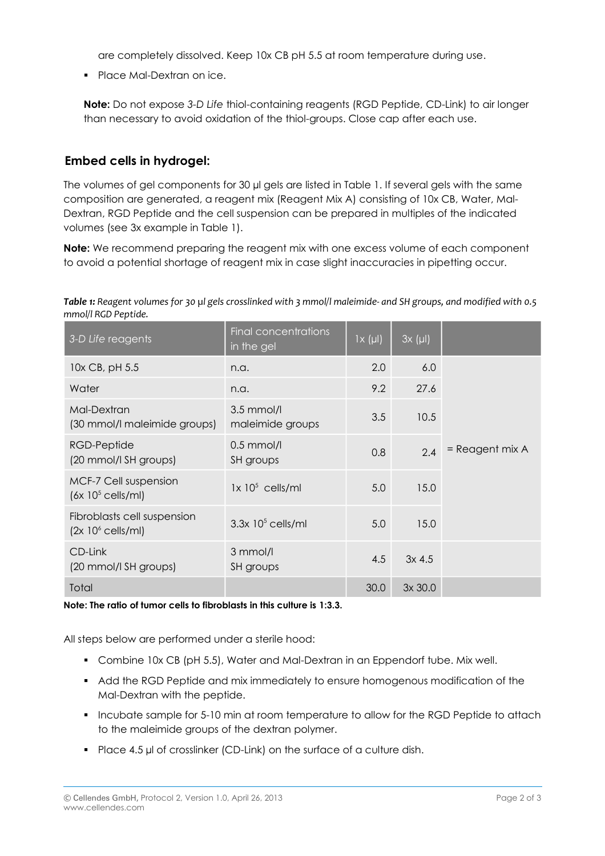are completely dissolved. Keep 10x CB pH 5.5 at room temperature during use.

• Place Mal-Dextran on ice.

**Note:** Do not expose *3-D Life* thiol-containing reagents (RGD Peptide, CD-Link) to air longer than necessary to avoid oxidation of the thiol-groups. Close cap after each use.

### **Embed cells in hydrogel:**

The volumes of gel components for 30 µl gels are listed in Table 1. If several gels with the same composition are generated, a reagent mix (Reagent Mix A) consisting of 10x CB, Water, Mal-Dextran, RGD Peptide and the cell suspension can be prepared in multiples of the indicated volumes (see 3x example in Table 1).

**Note:** We recommend preparing the reagent mix with one excess volume of each component to avoid a potential shortage of reagent mix in case slight inaccuracies in pipetting occur.

*Table 1: Reagent volumes for 30 µl gels crosslinked with 3 mmol/l maleimide- and SH groups, and modified with 0.5 mmol/l RGD Peptide.*

| 3-D Life reagents                                  | <b>Final concentrations</b><br>in the gel | $1 \times (\mu I)$ | $3x (\mu l)$ |                 |
|----------------------------------------------------|-------------------------------------------|--------------------|--------------|-----------------|
| 10x CB, pH 5.5                                     | n.a.                                      | 2.0                | 6.0          |                 |
| Water                                              | n.a.                                      | 9.2                | 27.6         |                 |
| Mal-Dextran<br>(30 mmol/l maleimide groups)        | $3.5$ mmol/l<br>maleimide groups          | 3.5                | 10.5         |                 |
| RGD-Peptide<br>(20 mmol/l SH groups)               | $0.5$ mmol/l<br>SH groups                 | 0.8                | 2.4          | = Reagent mix A |
| MCF-7 Cell suspension<br>$(6x 105$ cells/ml)       | $1x 10^5$ cells/ml                        | 5.0                | 15.0         |                 |
| Fibroblasts cell suspension<br>$(2x 106$ cells/ml) | $3.3x$ 10 <sup>5</sup> cells/ml           | 5.0                | 15.0         |                 |
| CD-Link<br>(20 mmol/l SH groups)                   | 3 mmol/l<br>SH groups                     | 4.5                | $3x$ 4.5     |                 |
| Total                                              |                                           | 30.0               | 3x30.0       |                 |

**Note: The ratio of tumor cells to fibroblasts in this culture is 1:3.3.** 

All steps below are performed under a sterile hood:

- Combine 10x CB (pH 5.5), Water and Mal-Dextran in an Eppendorf tube. Mix well.
- Add the RGD Peptide and mix immediately to ensure homogenous modification of the Mal-Dextran with the peptide.
- **Incubate sample for 5-10 min at room temperature to allow for the RGD Peptide to attach** to the maleimide groups of the dextran polymer.
- Place 4.5 µl of crosslinker (CD-Link) on the surface of a culture dish.